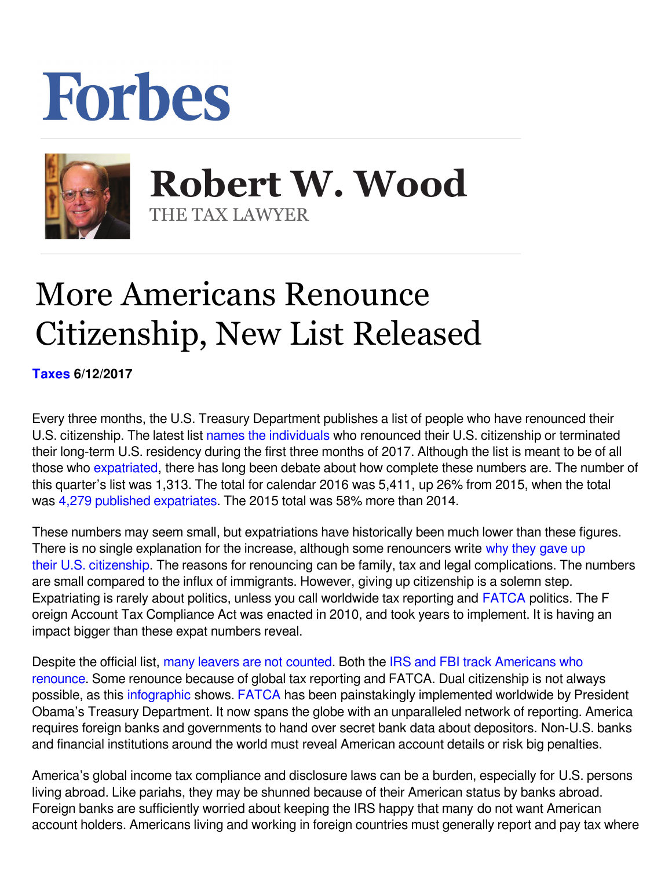## Forbes



 **Robert W. Wood** THE TAX LAWYER

## More Americans Renounce Citizenship, New List Released

**[Taxes](https://www.forbes.com/taxes) 6/12/2017** 

Every three months, the U.S. Treasury Department publishes a list of people who have renounced their U.S. citizenship. The latest list [names the individuals](https://s3.amazonaws.com/public-inspection.federalregister.gov/2017-09475.pdf) who renounced their U.S. citizenship or terminated their long-term U.S. residency during the first three months of 2017. Although the list is meant to be of all those who expatriated, there has long been debate about how complete these numbers are. The number of this quarter's list was 1,313. The total for calendar 2016 was 5,411, up 26% from 2015, when the total was [4,279 published expatriates.](http://intltax.typepad.com/intltax_blog/2016/02/new-expatriate-record-2015-nearly-4300-expatriations.html) The 2015 total was 58% more than 2014.

These numbers may seem small, but expatriations have historically been much lower than these figures. There is no single explanation for the increase, although some renouncers write [why they gave up](http://www.forbes.com/sites/robertwood/2016/02/18/dear-mrs-obama-why-i-gave-up-my-u-s-citizenship/#1b2abc0d4429) [their U.S. citizenship](http://www.forbes.com/sites/robertwood/2016/02/18/dear-mrs-obama-why-i-gave-up-my-u-s-citizenship/#1b2abc0d4429). The reasons for renouncing can be family, tax and legal complications. The numbers are small compared to the influx of immigrants. However, giving up citizenship is a solemn step. Expatriating is rarely about politics, unless you call worldwide tax reporting and **FATCA** politics. The F oreign Account Tax Compliance Act was enacted in 2010, and took years to implement. It is having an impact bigger than these expat numbers reveal.

Despite the official list, [many leavers are not counted](http://www.forbes.com/sites/robertwood/2014/05/03/americans-are-renouncing-citizenship-at-record-pace-and-many-arent-even-counted/). Both the [IRS and FBI track Americans who](http://www.forbes.com/sites/robertwood/2015/09/21/irs-and-fbi-track-americans-who-renounce-citizenship-why-is-fbi-list-longer/#38baa14c2f84) [renounce.](http://www.forbes.com/sites/robertwood/2015/09/21/irs-and-fbi-track-americans-who-renounce-citizenship-why-is-fbi-list-longer/#38baa14c2f84) Some renounce because of global tax reporting and FATCA. Dual citizenship is not always possible, as this [infographic](http://www.movehub.com/blog/dual-citizenship-around-the-world-map) shows. FATCA has been painstakingly implemented worldwide by President Obama's Treasury Department. It now spans the globe with an unparalleled network of reporting. America requires foreign banks and governments to hand over secret bank data about depositors. Non-U.S. banks and financial institutions around the world must reveal American account details or risk big penalties.

America's global income tax compliance and disclosure laws can be a burden, especially for U.S. persons living abroad. Like pariahs, they may be shunned because of their American status by banks abroad. Foreign banks are sufficiently worried about keeping the IRS happy that many do not want American account holders. Americans living and working in foreign countries must generally report and pay tax where